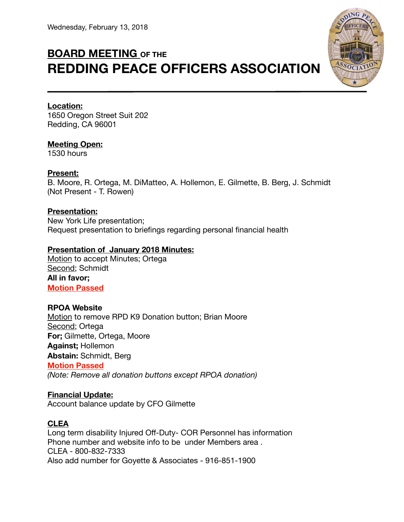# **BOARD MEETING OF THE REDDING PEACE OFFICERS ASSOCIATION**



## **Location:**

1650 Oregon Street Suit 202 Redding, CA 96001

## **Meeting Open:**

1530 hours

### **Present:**

B. Moore, R. Ortega, M. DiMatteo, A. Hollemon, E. Gilmette, B. Berg, J. Schmidt (Not Present - T. Rowen)

## **Presentation:**

New York Life presentation; Request presentation to briefings regarding personal financial health

## **Presentation of January 2018 Minutes:**

Motion to accept Minutes; Ortega Second; Schmidt **All in favor; Motion Passed** 

## **RPOA Website**

Motion to remove RPD K9 Donation button; Brian Moore Second; Ortega **For;** Gilmette, Ortega, Moore **Against;** Hollemon **Abstain:** Schmidt, Berg **Motion Passed** *(Note: Remove all donation buttons except RPOA donation)* 

## **Financial Update:**

Account balance update by CFO Gilmette

## **CLEA**

Long term disability Injured Off-Duty- COR Personnel has information Phone number and website info to be under Members area . CLEA - 800-832-7333 Also add number for Goyette & Associates - 916-851-1900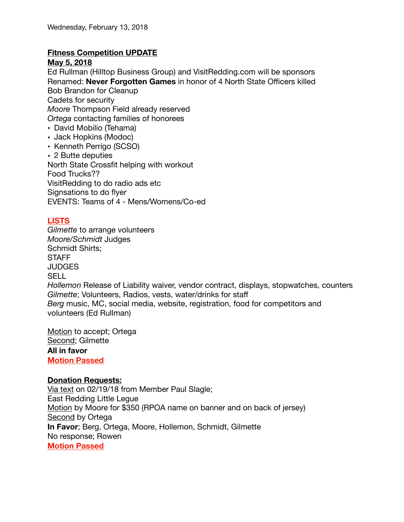## **Fitness Competition UPDATE**

#### **May 5, 2018**

Ed Rullman (Hilltop Business Group) and [VisitRedding.com](http://VisitRedding.com) will be sponsors Renamed: **Never Forgotten Games** in honor of 4 North State Officers killed Bob Brandon for Cleanup Cadets for security *Moore* Thompson Field already reserved *Ortega* contacting families of honorees • David Mobilio (Tehama) • Jack Hopkins (Modoc)

- Kenneth Perrigo (SCSO)
- 2 Butte deputies

North State Crossfit helping with workout Food Trucks?? VisitRedding to do radio ads etc Signsations to do flyer EVENTS: Teams of 4 - Mens/Womens/Co-ed

# **LISTS**

*Gilmette* to arrange volunteers *Moore/Schmidt* Judges Schmidt Shirts; **STAFF** JUDGES **SELL** *Hollemon* Release of Liability waiver, vendor contract, displays, stopwatches, counters *Gilmette*; Volunteers, Radios, vests, water/drinks for staff *Berg* music, MC, social media, website, registration, food for competitors and volunteers (Ed Rullman)

Motion to accept; Ortega Second; Gilmette **All in favor Motion Passed** 

#### **Donation Requests:**

Via text on 02/19/18 from Member Paul Slagle; East Redding Little Legue Motion by Moore for \$350 (RPOA name on banner and on back of jersey) Second by Ortega **In Favor**; Berg, Ortega, Moore, Hollemon, Schmidt, Gilmette No response; Rowen **Motion Passed**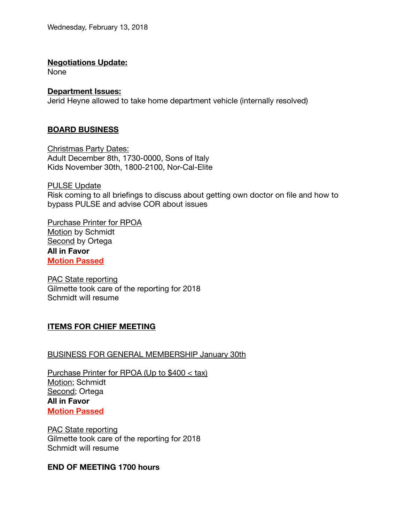#### **Negotiations Update:**

None

#### **Department Issues:**

Jerid Heyne allowed to take home department vehicle (internally resolved)

## **BOARD BUSINESS**

Christmas Party Dates: Adult December 8th, 1730-0000, Sons of Italy Kids November 30th, 1800-2100, Nor-Cal-Elite

PULSE Update Risk coming to all briefings to discuss about getting own doctor on file and how to bypass PULSE and advise COR about issues

Purchase Printer for RPOA Motion by Schmidt Second by Ortega **All in Favor Motion Passed** 

PAC State reporting Gilmette took care of the reporting for 2018 Schmidt will resume

## **ITEMS FOR CHIEF MEETING**

#### BUSINESS FOR GENERAL MEMBERSHIP January 30th

Purchase Printer for RPOA (Up to \$400 < tax) Motion; Schmidt Second; Ortega **All in Favor Motion Passed** 

PAC State reporting Gilmette took care of the reporting for 2018 Schmidt will resume

#### **END OF MEETING 1700 hours**